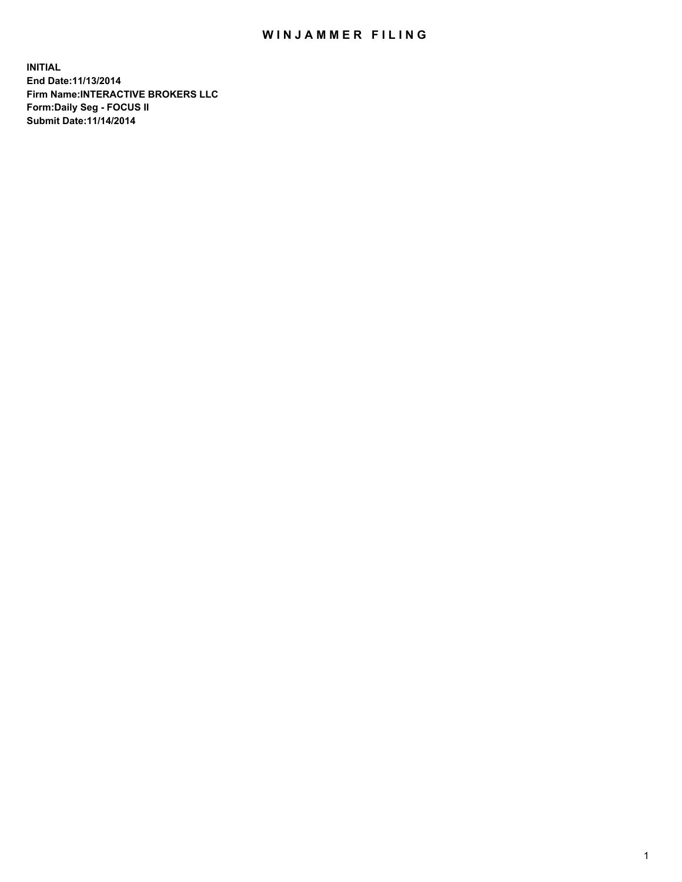## WIN JAMMER FILING

**INITIAL End Date:11/13/2014 Firm Name:INTERACTIVE BROKERS LLC Form:Daily Seg - FOCUS II Submit Date:11/14/2014**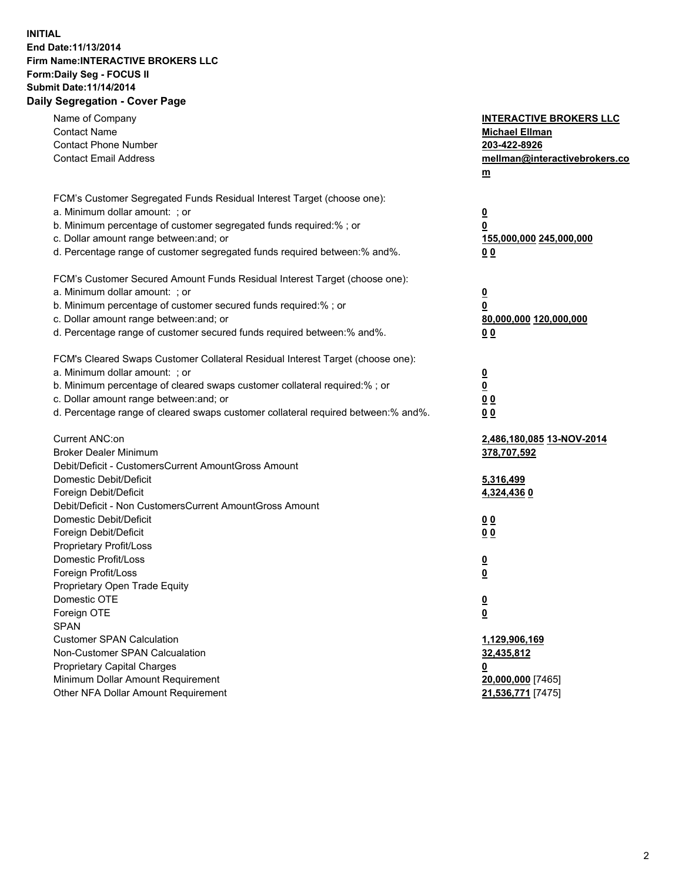## **INITIAL End Date:11/13/2014 Firm Name:INTERACTIVE BROKERS LLC Form:Daily Seg - FOCUS II Submit Date:11/14/2014 Daily Segregation - Cover Page**

| Name of Company<br><b>Contact Name</b><br><b>Contact Phone Number</b><br><b>Contact Email Address</b>                                                                                                                                                                                                                          | <b>INTERACTIVE BROKERS LLC</b><br><b>Michael Ellman</b><br>203-422-8926<br>mellman@interactivebrokers.co<br>$m$ |
|--------------------------------------------------------------------------------------------------------------------------------------------------------------------------------------------------------------------------------------------------------------------------------------------------------------------------------|-----------------------------------------------------------------------------------------------------------------|
| FCM's Customer Segregated Funds Residual Interest Target (choose one):<br>a. Minimum dollar amount: ; or<br>b. Minimum percentage of customer segregated funds required:% ; or<br>c. Dollar amount range between: and; or<br>d. Percentage range of customer segregated funds required between:% and%.                         | <u>0</u><br>0<br>155,000,000 245,000,000<br>0 <sub>0</sub>                                                      |
| FCM's Customer Secured Amount Funds Residual Interest Target (choose one):<br>a. Minimum dollar amount: ; or<br>b. Minimum percentage of customer secured funds required:% ; or<br>c. Dollar amount range between: and; or<br>d. Percentage range of customer secured funds required between:% and%.                           | <u>0</u><br>0<br>80,000,000 120,000,000<br>0 <sub>0</sub>                                                       |
| FCM's Cleared Swaps Customer Collateral Residual Interest Target (choose one):<br>a. Minimum dollar amount: ; or<br>b. Minimum percentage of cleared swaps customer collateral required:% ; or<br>c. Dollar amount range between: and; or<br>d. Percentage range of cleared swaps customer collateral required between:% and%. | $\overline{\mathbf{0}}$<br>$\underline{\mathbf{0}}$<br>0 <sub>0</sub><br>0 <sub>0</sub>                         |
| Current ANC:on<br><b>Broker Dealer Minimum</b><br>Debit/Deficit - CustomersCurrent AmountGross Amount<br>Domestic Debit/Deficit<br>Foreign Debit/Deficit                                                                                                                                                                       | 2,486,180,085 13-NOV-2014<br>378,707,592<br>5,316,499<br>4,324,436 0                                            |
| Debit/Deficit - Non CustomersCurrent AmountGross Amount<br>Domestic Debit/Deficit<br>Foreign Debit/Deficit<br>Proprietary Profit/Loss<br>Domestic Profit/Loss                                                                                                                                                                  | 0 <sub>0</sub><br>0 <sub>0</sub><br><u>0</u>                                                                    |
| Foreign Profit/Loss<br>Proprietary Open Trade Equity<br>Domestic OTE<br>Foreign OTE<br><b>SPAN</b><br><b>Customer SPAN Calculation</b>                                                                                                                                                                                         | <u>0</u><br><u>0</u><br><u>0</u><br>1,129,906,169                                                               |
| Non-Customer SPAN Calcualation<br><b>Proprietary Capital Charges</b><br>Minimum Dollar Amount Requirement<br>Other NFA Dollar Amount Requirement                                                                                                                                                                               | 32,435,812<br><u>0</u><br>20,000,000 [7465]<br>21,536,771 [7475]                                                |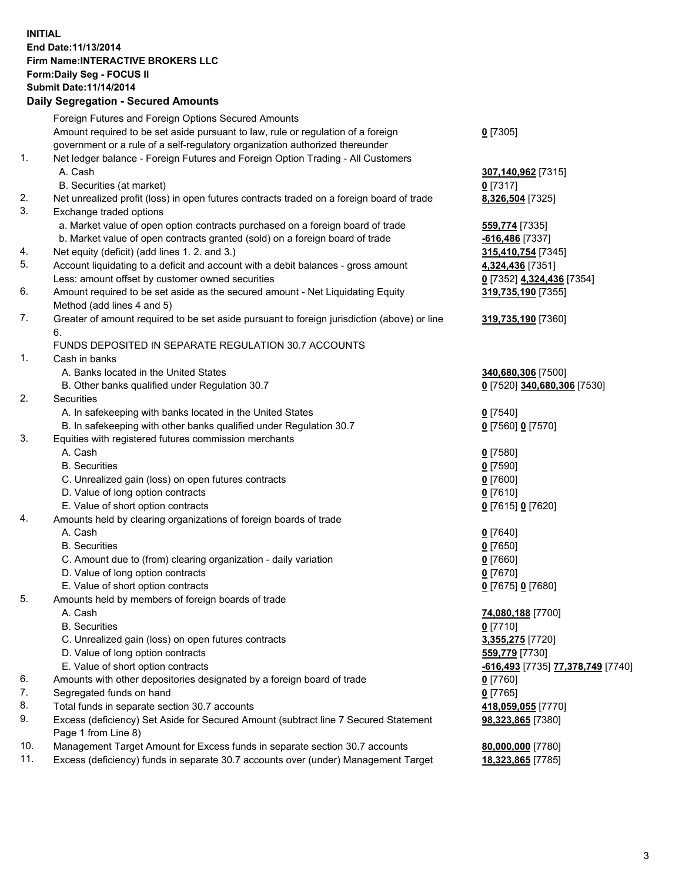## **INITIAL End Date:11/13/2014 Firm Name:INTERACTIVE BROKERS LLC Form:Daily Seg - FOCUS II Submit Date:11/14/2014 Daily Segregation - Secured Amounts**

| -616,493 [7735] 77,378,749 [7740] |
|-----------------------------------|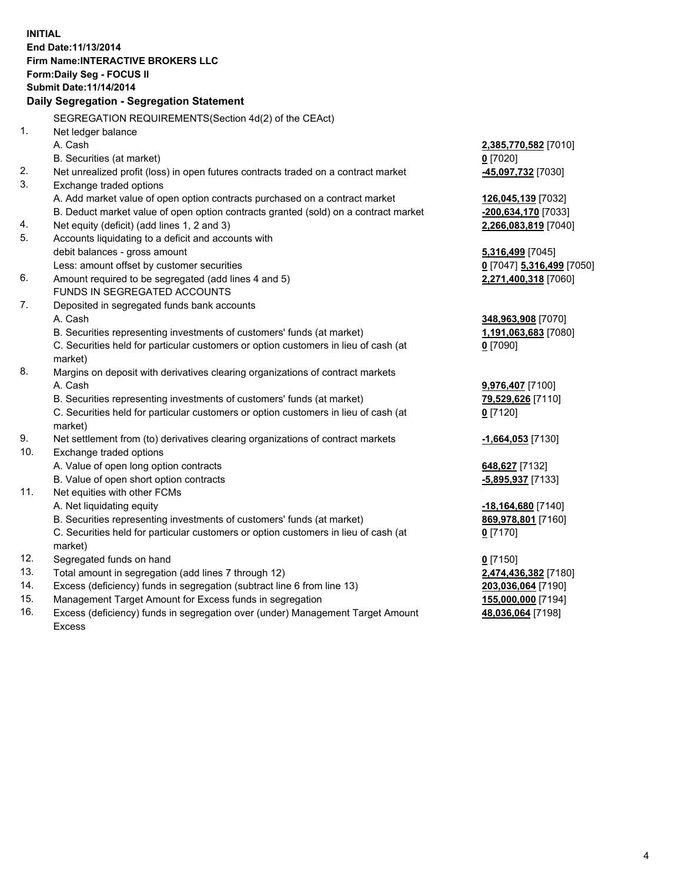**INITIAL End Date:11/13/2014 Firm Name:INTERACTIVE BROKERS LLC Form:Daily Seg - FOCUS II Submit Date:11/14/2014 Daily Segregation - Segregation Statement** SEGREGATION REQUIREMENTS(Section 4d(2) of the CEAct) 1. Net ledger balance A. Cash **2,385,770,582** [7010] B. Securities (at market) **0** [7020] 2. Net unrealized profit (loss) in open futures contracts traded on a contract market **-45,097,732** [7030] 3. Exchange traded options A. Add market value of open option contracts purchased on a contract market **126,045,139** [7032] B. Deduct market value of open option contracts granted (sold) on a contract market **-200,634,170** [7033] 4. Net equity (deficit) (add lines 1, 2 and 3) **2,266,083,819** [7040] 5. Accounts liquidating to a deficit and accounts with debit balances - gross amount **5,316,499** [7045] Less: amount offset by customer securities **0** [7047] **5,316,499** [7050] 6. Amount required to be segregated (add lines 4 and 5) **2,271,400,318** [7060] FUNDS IN SEGREGATED ACCOUNTS 7. Deposited in segregated funds bank accounts A. Cash **348,963,908** [7070] B. Securities representing investments of customers' funds (at market) **1,191,063,683** [7080] C. Securities held for particular customers or option customers in lieu of cash (at market) **0** [7090] 8. Margins on deposit with derivatives clearing organizations of contract markets A. Cash **9,976,407** [7100] B. Securities representing investments of customers' funds (at market) **79,529,626** [7110] C. Securities held for particular customers or option customers in lieu of cash (at market) **0** [7120] 9. Net settlement from (to) derivatives clearing organizations of contract markets **-1,664,053** [7130] 10. Exchange traded options A. Value of open long option contracts **648,627** [7132] B. Value of open short option contracts **-5,895,937** [7133] 11. Net equities with other FCMs A. Net liquidating equity **-18,164,680** [7140] B. Securities representing investments of customers' funds (at market) **869,978,801** [7160] C. Securities held for particular customers or option customers in lieu of cash (at market) **0** [7170] 12. Segregated funds on hand **0** [7150] 13. Total amount in segregation (add lines 7 through 12) **2,474,436,382** [7180] 14. Excess (deficiency) funds in segregation (subtract line 6 from line 13) **203,036,064** [7190] 15. Management Target Amount for Excess funds in segregation **155,000,000** [7194]

16. Excess (deficiency) funds in segregation over (under) Management Target Amount Excess

**48,036,064** [7198]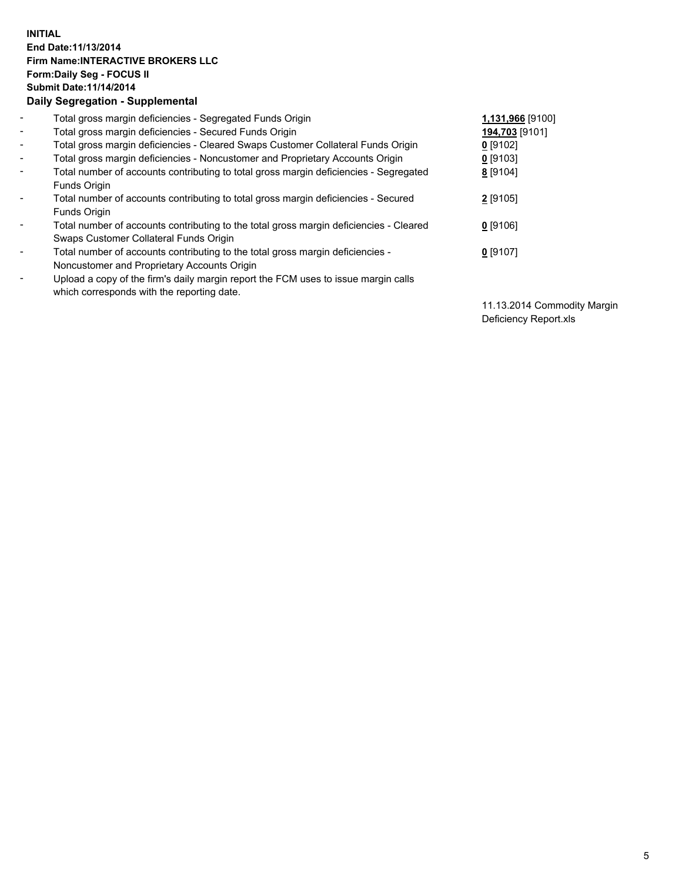## **INITIAL End Date:11/13/2014 Firm Name:INTERACTIVE BROKERS LLC Form:Daily Seg - FOCUS II Submit Date:11/14/2014 Daily Segregation - Supplemental**

| $\overline{\phantom{a}}$ | Total gross margin deficiencies - Segregated Funds Origin                                                                        | 1,131,966 [9100] |
|--------------------------|----------------------------------------------------------------------------------------------------------------------------------|------------------|
| $\blacksquare$           | Total gross margin deficiencies - Secured Funds Origin                                                                           | 194,703 [9101]   |
| $\blacksquare$           | Total gross margin deficiencies - Cleared Swaps Customer Collateral Funds Origin                                                 | $0$ [9102]       |
| $\sim$                   | Total gross margin deficiencies - Noncustomer and Proprietary Accounts Origin                                                    | 0 [9103]         |
| $\blacksquare$           | Total number of accounts contributing to total gross margin deficiencies - Segregated<br>Funds Origin                            | 8 [9104]         |
| $\blacksquare$           | Total number of accounts contributing to total gross margin deficiencies - Secured<br>Funds Origin                               | $2$ [9105]       |
| $\overline{\phantom{a}}$ | Total number of accounts contributing to the total gross margin deficiencies - Cleared<br>Swaps Customer Collateral Funds Origin | $0$ [9106]       |
| $\overline{\phantom{a}}$ | Total number of accounts contributing to the total gross margin deficiencies -<br>Noncustomer and Proprietary Accounts Origin    | $0$ [9107]       |
| Ξ.                       | Upload a copy of the firm's daily margin report the FCM uses to issue margin calls<br>which corresponds with the reporting date. |                  |

11.13.2014 Commodity Margin Deficiency Report.xls